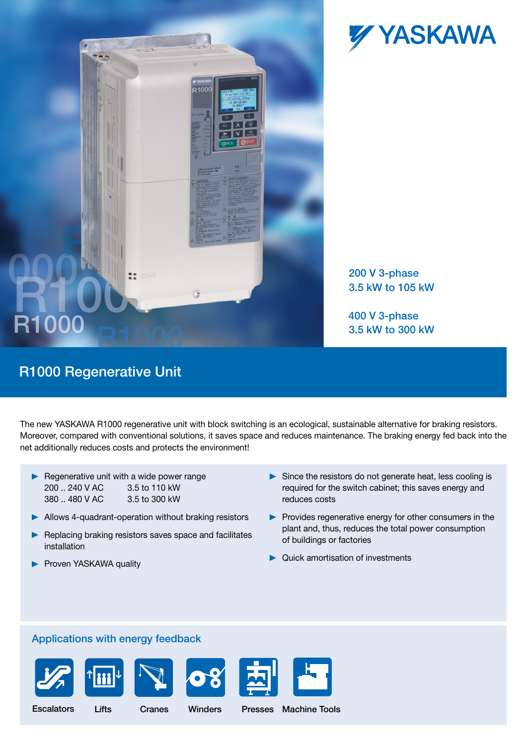

# **R100** R100

200 V 3-phase 3.5 kW to 105 kW

400 V 3-phase 3.5 kW to 300 kW

## R1000 Regenerative Unit

The new YASKAWA R1000 regenerative unit with block switching is an ecological, sustainable alternative for braking resistors. Moreover, compared with conventional solutions, it saves space and reduces maintenance. The braking energy fed back into the net additionally reduces costs and protects the environment!

- $\blacktriangleright$  Regenerative unit with a wide power range 200 .. 240 V AC 3.5 to 110 kW 380 .. 480 V AC 3.5 to 300 kW
- Allows 4-quadrant-operation without braking resistors

R1000

- Replacing braking resistors saves space and facilitates installation
- **Proven YASKAWA quality**
- $\triangleright$  Since the resistors do not generate heat, less cooling is required for the switch cabinet; this saves energy and reduces costs
- **Provides regenerative energy for other consumers in the** plant and, thus, reduces the total power consumption of buildings or factories
- ▶ Quick amortisation of investments

#### Applications with energy feedback and the compressor Compressor Compressor Compressor Compressor Compressor Co











Hoist, s i Escalators

**Crane** Extruders Punching

 $\sim$  Punching Punching Punching Punching Punching Punching Punching Punching Punching Punching Punching Punching Punching Punching Punching Punching Punching Punching Punching Punching Punching Punching Punching Punching **vvince** Winders

Escalators Lifts Cranes Winders Presses Machine Tools Presses  $H_1$  ,  $H_2$  ,  $H_3$  ,  $H_4$  ,  $H_5$  ,  $H_6$  ,  $H_7$  ,  $H_8$  ,  $H_9$  ,  $H_9$  ,  $H_9$  ,  $H_9$  ,  $H_9$  ,  $H_9$  ,  $H_9$  ,  $H_9$  ,  $H_9$  ,  $H_9$  ,  $H_9$  ,  $H_9$  ,  $H_9$  ,  $H_9$  ,  $H_9$  ,  $H_9$  ,  $H_9$  ,  $H_9$  ,  $H_9$  ,  $H_9$